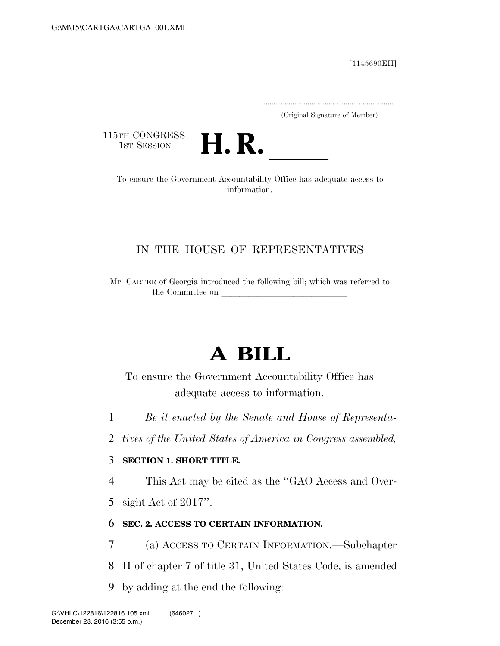[1145690EH]

.....................................................................

(Original Signature of Member)

115TH CONGRESS<br>1st Session



TH CONGRESS<br>1st SESSION **H. R.** <u>Internative of the Government Accountability Office has adequate access to</u> information.

## IN THE HOUSE OF REPRESENTATIVES

Mr. CARTER of Georgia introduced the following bill; which was referred to the Committee on

# **A BILL**

To ensure the Government Accountability Office has adequate access to information.

- 1 *Be it enacted by the Senate and House of Representa-*
- 2 *tives of the United States of America in Congress assembled,*

#### 3 **SECTION 1. SHORT TITLE.**

4 This Act may be cited as the ''GAO Access and Over-

5 sight Act of 2017''.

### 6 **SEC. 2. ACCESS TO CERTAIN INFORMATION.**

- 7 (a) ACCESS TO CERTAIN INFORMATION.—Subchapter
- 8 II of chapter 7 of title 31, United States Code, is amended
- 9 by adding at the end the following: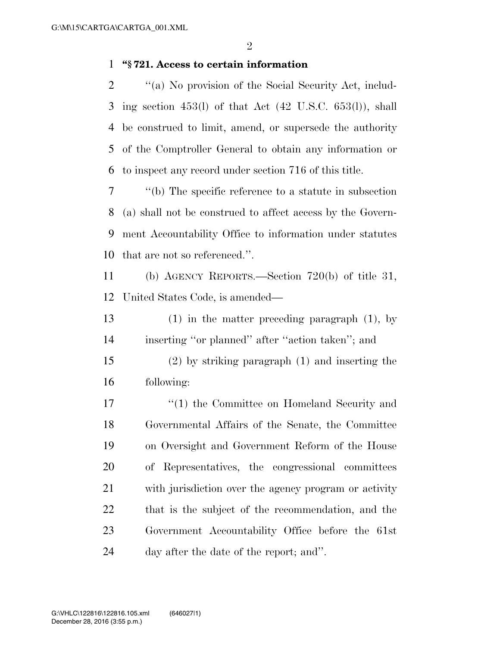#### **''§ 721. Access to certain information**

 ''(a) No provision of the Social Security Act, includ- ing section 453(l) of that Act (42 U.S.C. 653(l)), shall be construed to limit, amend, or supersede the authority of the Comptroller General to obtain any information or to inspect any record under section 716 of this title.

 ''(b) The specific reference to a statute in subsection (a) shall not be construed to affect access by the Govern- ment Accountability Office to information under statutes that are not so referenced.''.

 (b) AGENCY REPORTS.—Section 720(b) of title 31, United States Code, is amended—

 (1) in the matter preceding paragraph (1), by inserting ''or planned'' after ''action taken''; and

 (2) by striking paragraph (1) and inserting the following:

17 ''(1) the Committee on Homeland Security and Governmental Affairs of the Senate, the Committee on Oversight and Government Reform of the House of Representatives, the congressional committees with jurisdiction over the agency program or activity that is the subject of the recommendation, and the Government Accountability Office before the 61st day after the date of the report; and''.